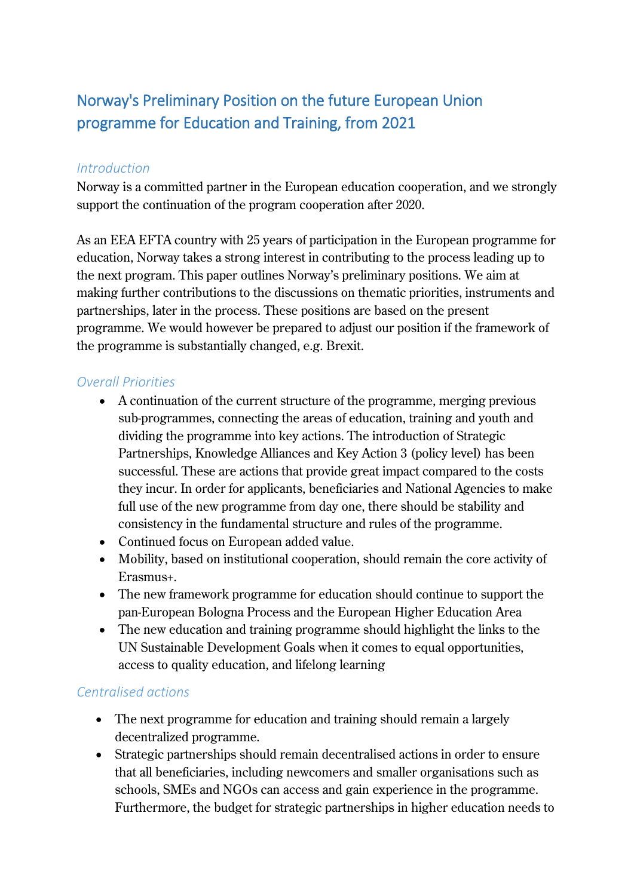# Norway's Preliminary Position on the future European Union programme for Education and Training, from 2021

#### *Introduction*

Norway is a committed partner in the European education cooperation, and we strongly support the continuation of the program cooperation after 2020.

As an EEA EFTA country with 25 years of participation in the European programme for education, Norway takes a strong interest in contributing to the process leading up to the next program. This paper outlines Norway's preliminary positions. We aim at making further contributions to the discussions on thematic priorities, instruments and partnerships, later in the process. These positions are based on the present programme. We would however be prepared to adjust our position if the framework of the programme is substantially changed, e.g. Brexit.

### *Overall Priorities*

- A continuation of the current structure of the programme, merging previous sub-programmes, connecting the areas of education, training and youth and dividing the programme into key actions. The introduction of Strategic Partnerships, Knowledge Alliances and Key Action 3 (policy level) has been successful. These are actions that provide great impact compared to the costs they incur. In order for applicants, beneficiaries and National Agencies to make full use of the new programme from day one, there should be stability and consistency in the fundamental structure and rules of the programme.
- Continued focus on European added value.
- Mobility, based on institutional cooperation, should remain the core activity of Erasmus+.
- The new framework programme for education should continue to support the pan-European Bologna Process and the European Higher Education Area
- The new education and training programme should highlight the links to the UN Sustainable Development Goals when it comes to equal opportunities, access to quality education, and lifelong learning

## *Centralised actions*

- The next programme for education and training should remain a largely decentralized programme.
- Strategic partnerships should remain decentralised actions in order to ensure that all beneficiaries, including newcomers and smaller organisations such as schools, SMEs and NGOs can access and gain experience in the programme. Furthermore, the budget for strategic partnerships in higher education needs to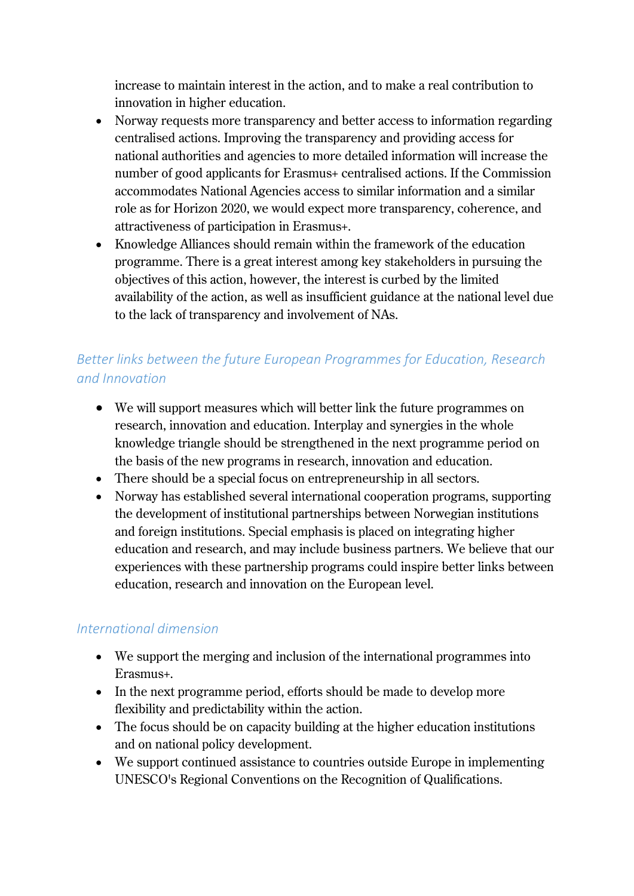increase to maintain interest in the action, and to make a real contribution to innovation in higher education.

- Norway requests more transparency and better access to information regarding centralised actions. Improving the transparency and providing access for national authorities and agencies to more detailed information will increase the number of good applicants for Erasmus+ centralised actions. If the Commission accommodates National Agencies access to similar information and a similar role as for Horizon 2020, we would expect more transparency, coherence, and attractiveness of participation in Erasmus+.
- Knowledge Alliances should remain within the framework of the education programme. There is a great interest among key stakeholders in pursuing the objectives of this action, however, the interest is curbed by the limited availability of the action, as well as insufficient guidance at the national level due to the lack of transparency and involvement of NAs.

# *Better links between the future European Programmes for Education, Research and Innovation*

- We will support measures which will better link the future programmes on research, innovation and education. Interplay and synergies in the whole knowledge triangle should be strengthened in the next programme period on the basis of the new programs in research, innovation and education.
- There should be a special focus on entrepreneurship in all sectors.
- Norway has established several international cooperation programs, supporting the development of institutional partnerships between Norwegian institutions and foreign institutions. Special emphasis is placed on integrating higher education and research, and may include business partners. We believe that our experiences with these partnership programs could inspire better links between education, research and innovation on the European level.

## *International dimension*

- We support the merging and inclusion of the international programmes into Erasmus+.
- In the next programme period, efforts should be made to develop more flexibility and predictability within the action.
- The focus should be on capacity building at the higher education institutions and on national policy development.
- We support continued assistance to countries outside Europe in implementing UNESCO's Regional Conventions on the Recognition of Qualifications.